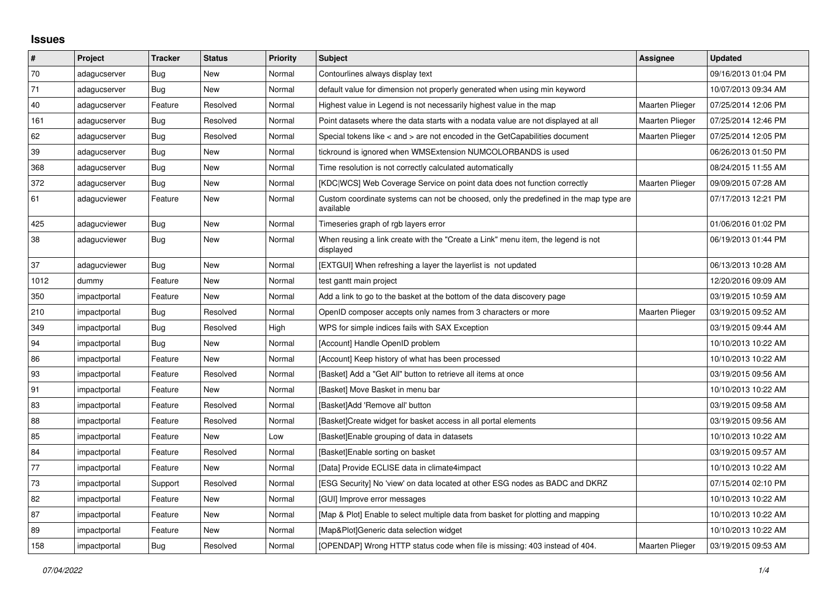## **Issues**

| $\sharp$ | Project      | <b>Tracker</b> | <b>Status</b> | <b>Priority</b> | <b>Subject</b>                                                                                     | Assignee               | <b>Updated</b>      |
|----------|--------------|----------------|---------------|-----------------|----------------------------------------------------------------------------------------------------|------------------------|---------------------|
| $70\,$   | adagucserver | Bug            | New           | Normal          | Contourlines always display text                                                                   |                        | 09/16/2013 01:04 PM |
| 71       | adagucserver | <b>Bug</b>     | <b>New</b>    | Normal          | default value for dimension not properly generated when using min keyword                          |                        | 10/07/2013 09:34 AM |
| 40       | adagucserver | Feature        | Resolved      | Normal          | Highest value in Legend is not necessarily highest value in the map                                | <b>Maarten Plieger</b> | 07/25/2014 12:06 PM |
| 161      | adagucserver | Bug            | Resolved      | Normal          | Point datasets where the data starts with a nodata value are not displayed at all                  | Maarten Plieger        | 07/25/2014 12:46 PM |
| 62       | adagucserver | Bug            | Resolved      | Normal          | Special tokens like < and > are not encoded in the GetCapabilities document                        | Maarten Plieger        | 07/25/2014 12:05 PM |
| 39       | adagucserver | <b>Bug</b>     | <b>New</b>    | Normal          | tickround is ignored when WMSExtension NUMCOLORBANDS is used                                       |                        | 06/26/2013 01:50 PM |
| 368      | adagucserver | Bug            | New           | Normal          | Time resolution is not correctly calculated automatically                                          |                        | 08/24/2015 11:55 AM |
| 372      | adagucserver | <b>Bug</b>     | New           | Normal          | [KDC WCS] Web Coverage Service on point data does not function correctly                           | Maarten Plieger        | 09/09/2015 07:28 AM |
| 61       | adagucviewer | Feature        | New           | Normal          | Custom coordinate systems can not be choosed, only the predefined in the map type are<br>available |                        | 07/17/2013 12:21 PM |
| 425      | adagucviewer | Bug            | New           | Normal          | Timeseries graph of rgb layers error                                                               |                        | 01/06/2016 01:02 PM |
| 38       | adagucviewer | Bug            | New           | Normal          | When reusing a link create with the "Create a Link" menu item, the legend is not<br>displayed      |                        | 06/19/2013 01:44 PM |
| 37       | adagucviewer | Bug            | <b>New</b>    | Normal          | [EXTGUI] When refreshing a layer the layerlist is not updated                                      |                        | 06/13/2013 10:28 AM |
| 1012     | dummy        | Feature        | New           | Normal          | test gantt main project                                                                            |                        | 12/20/2016 09:09 AM |
| 350      | impactportal | Feature        | New           | Normal          | Add a link to go to the basket at the bottom of the data discovery page                            |                        | 03/19/2015 10:59 AM |
| 210      | impactportal | Bug            | Resolved      | Normal          | OpenID composer accepts only names from 3 characters or more                                       | Maarten Plieger        | 03/19/2015 09:52 AM |
| 349      | impactportal | <b>Bug</b>     | Resolved      | High            | WPS for simple indices fails with SAX Exception                                                    |                        | 03/19/2015 09:44 AM |
| 94       | impactportal | Bug            | New           | Normal          | [Account] Handle OpenID problem                                                                    |                        | 10/10/2013 10:22 AM |
| 86       | impactportal | Feature        | New           | Normal          | [Account] Keep history of what has been processed                                                  |                        | 10/10/2013 10:22 AM |
| 93       | impactportal | Feature        | Resolved      | Normal          | [Basket] Add a "Get All" button to retrieve all items at once                                      |                        | 03/19/2015 09:56 AM |
| 91       | impactportal | Feature        | <b>New</b>    | Normal          | [Basket] Move Basket in menu bar                                                                   |                        | 10/10/2013 10:22 AM |
| 83       | impactportal | Feature        | Resolved      | Normal          | [Basket]Add 'Remove all' button                                                                    |                        | 03/19/2015 09:58 AM |
| 88       | impactportal | Feature        | Resolved      | Normal          | [Basket]Create widget for basket access in all portal elements                                     |                        | 03/19/2015 09:56 AM |
| 85       | impactportal | Feature        | New           | Low             | [Basket]Enable grouping of data in datasets                                                        |                        | 10/10/2013 10:22 AM |
| 84       | impactportal | Feature        | Resolved      | Normal          | [Basket]Enable sorting on basket                                                                   |                        | 03/19/2015 09:57 AM |
| 77       | impactportal | Feature        | New           | Normal          | [Data] Provide ECLISE data in climate4impact                                                       |                        | 10/10/2013 10:22 AM |
| 73       | impactportal | Support        | Resolved      | Normal          | [ESG Security] No 'view' on data located at other ESG nodes as BADC and DKRZ                       |                        | 07/15/2014 02:10 PM |
| 82       | impactportal | Feature        | New           | Normal          | [GUI] Improve error messages                                                                       |                        | 10/10/2013 10:22 AM |
| 87       | impactportal | Feature        | New           | Normal          | [Map & Plot] Enable to select multiple data from basket for plotting and mapping                   |                        | 10/10/2013 10:22 AM |
| 89       | impactportal | Feature        | <b>New</b>    | Normal          | [Map&Plot]Generic data selection widget                                                            |                        | 10/10/2013 10:22 AM |
| 158      | impactportal | <b>Bug</b>     | Resolved      | Normal          | [OPENDAP] Wrong HTTP status code when file is missing: 403 instead of 404.                         | Maarten Plieger        | 03/19/2015 09:53 AM |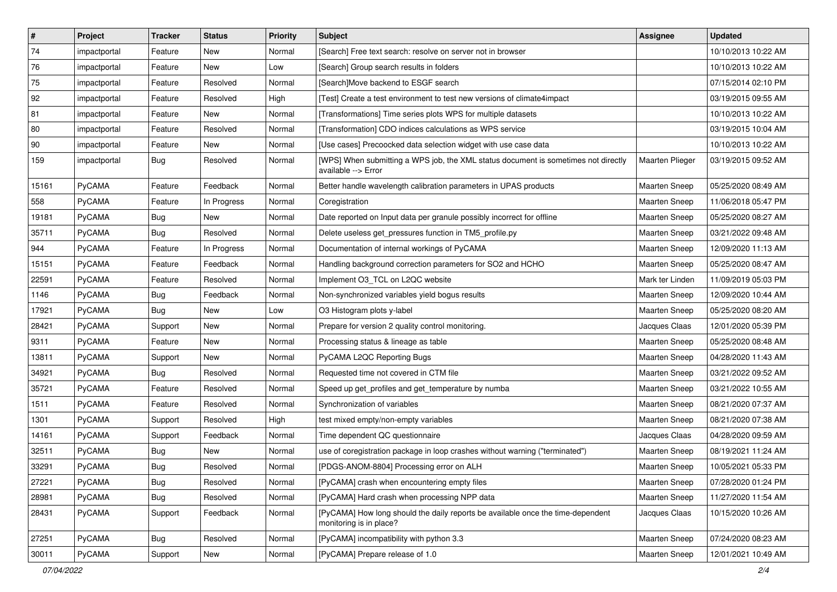| $\vert$ #    | Project       | <b>Tracker</b> | <b>Status</b> | <b>Priority</b> | <b>Subject</b>                                                                                             | Assignee             | <b>Updated</b>      |
|--------------|---------------|----------------|---------------|-----------------|------------------------------------------------------------------------------------------------------------|----------------------|---------------------|
| 74           | impactportal  | Feature        | New           | Normal          | [Search] Free text search: resolve on server not in browser                                                |                      | 10/10/2013 10:22 AM |
| 76           | impactportal  | Feature        | <b>New</b>    | Low             | [Search] Group search results in folders                                                                   |                      | 10/10/2013 10:22 AM |
| 75           | impactportal  | Feature        | Resolved      | Normal          | [Search]Move backend to ESGF search                                                                        |                      | 07/15/2014 02:10 PM |
| 92           | impactportal  | Feature        | Resolved      | High            | [Test] Create a test environment to test new versions of climate4impact                                    |                      | 03/19/2015 09:55 AM |
| 81           | impactportal  | Feature        | <b>New</b>    | Normal          | [Transformations] Time series plots WPS for multiple datasets                                              |                      | 10/10/2013 10:22 AM |
| 80           | impactportal  | Feature        | Resolved      | Normal          | [Transformation] CDO indices calculations as WPS service                                                   |                      | 03/19/2015 10:04 AM |
| $ 90\rangle$ | impactportal  | Feature        | <b>New</b>    | Normal          | [Use cases] Precoocked data selection widget with use case data                                            |                      | 10/10/2013 10:22 AM |
| 159          | impactportal  | Bug            | Resolved      | Normal          | [WPS] When submitting a WPS job, the XML status document is sometimes not directly<br>available --> Error  | Maarten Plieger      | 03/19/2015 09:52 AM |
| 15161        | PyCAMA        | Feature        | Feedback      | Normal          | Better handle wavelength calibration parameters in UPAS products                                           | <b>Maarten Sneep</b> | 05/25/2020 08:49 AM |
| 558          | <b>PyCAMA</b> | Feature        | In Progress   | Normal          | Coregistration                                                                                             | <b>Maarten Sneep</b> | 11/06/2018 05:47 PM |
| 19181        | PyCAMA        | <b>Bug</b>     | New           | Normal          | Date reported on Input data per granule possibly incorrect for offline                                     | <b>Maarten Sneep</b> | 05/25/2020 08:27 AM |
| 35711        | PyCAMA        | Bug            | Resolved      | Normal          | Delete useless get_pressures function in TM5_profile.py                                                    | <b>Maarten Sneep</b> | 03/21/2022 09:48 AM |
| 944          | PyCAMA        | Feature        | In Progress   | Normal          | Documentation of internal workings of PyCAMA                                                               | <b>Maarten Sneep</b> | 12/09/2020 11:13 AM |
| 15151        | PyCAMA        | Feature        | Feedback      | Normal          | Handling background correction parameters for SO2 and HCHO                                                 | Maarten Sneep        | 05/25/2020 08:47 AM |
| 22591        | <b>PyCAMA</b> | Feature        | Resolved      | Normal          | Implement O3_TCL on L2QC website                                                                           | Mark ter Linden      | 11/09/2019 05:03 PM |
| 1146         | PyCAMA        | <b>Bug</b>     | Feedback      | Normal          | Non-synchronized variables yield bogus results                                                             | <b>Maarten Sneep</b> | 12/09/2020 10:44 AM |
| 17921        | PyCAMA        | <b>Bug</b>     | New           | Low             | O3 Histogram plots y-label                                                                                 | Maarten Sneep        | 05/25/2020 08:20 AM |
| 28421        | PyCAMA        | Support        | New           | Normal          | Prepare for version 2 quality control monitoring.                                                          | Jacques Claas        | 12/01/2020 05:39 PM |
| 9311         | PyCAMA        | Feature        | <b>New</b>    | Normal          | Processing status & lineage as table                                                                       | Maarten Sneep        | 05/25/2020 08:48 AM |
| 13811        | PyCAMA        | Support        | New           | Normal          | PyCAMA L2QC Reporting Bugs                                                                                 | Maarten Sneep        | 04/28/2020 11:43 AM |
| 34921        | PyCAMA        | <b>Bug</b>     | Resolved      | Normal          | Requested time not covered in CTM file                                                                     | Maarten Sneep        | 03/21/2022 09:52 AM |
| 35721        | PyCAMA        | Feature        | Resolved      | Normal          | Speed up get_profiles and get_temperature by numba                                                         | <b>Maarten Sneep</b> | 03/21/2022 10:55 AM |
| 1511         | PyCAMA        | Feature        | Resolved      | Normal          | Synchronization of variables                                                                               | <b>Maarten Sneep</b> | 08/21/2020 07:37 AM |
| 1301         | PyCAMA        | Support        | Resolved      | High            | test mixed empty/non-empty variables                                                                       | <b>Maarten Sneep</b> | 08/21/2020 07:38 AM |
| 14161        | PyCAMA        | Support        | Feedback      | Normal          | Time dependent QC questionnaire                                                                            | Jacques Claas        | 04/28/2020 09:59 AM |
| 32511        | PyCAMA        | <b>Bug</b>     | New           | Normal          | use of coregistration package in loop crashes without warning ("terminated")                               | Maarten Sneep        | 08/19/2021 11:24 AM |
| 33291        | PyCAMA        | Bug            | Resolved      | Normal          | [PDGS-ANOM-8804] Processing error on ALH                                                                   | <b>Maarten Sneep</b> | 10/05/2021 05:33 PM |
| 27221        | PyCAMA        | <b>Bug</b>     | Resolved      | Normal          | [PyCAMA] crash when encountering empty files                                                               | Maarten Sneep        | 07/28/2020 01:24 PM |
| 28981        | PyCAMA        | Bug            | Resolved      | Normal          | [PyCAMA] Hard crash when processing NPP data                                                               | Maarten Sneep        | 11/27/2020 11:54 AM |
| 28431        | PyCAMA        | Support        | Feedback      | Normal          | [PyCAMA] How long should the daily reports be available once the time-dependent<br>monitoring is in place? | Jacques Claas        | 10/15/2020 10:26 AM |
| 27251        | PyCAMA        | Bug            | Resolved      | Normal          | [PyCAMA] incompatibility with python 3.3                                                                   | Maarten Sneep        | 07/24/2020 08:23 AM |
| 30011        | PyCAMA        | Support        | New           | Normal          | [PyCAMA] Prepare release of 1.0                                                                            | Maarten Sneep        | 12/01/2021 10:49 AM |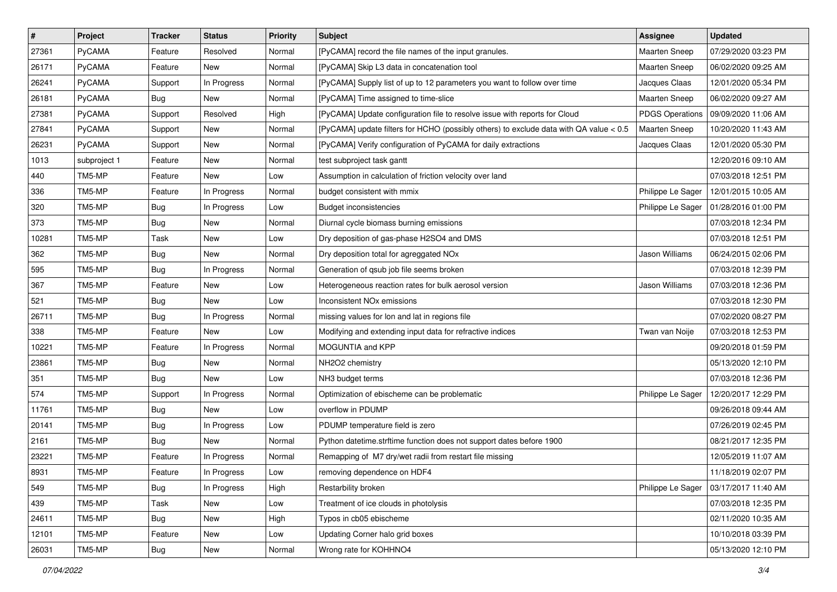| $\sharp$ | Project       | <b>Tracker</b> | <b>Status</b> | <b>Priority</b> | <b>Subject</b>                                                                         | Assignee               | <b>Updated</b>                          |
|----------|---------------|----------------|---------------|-----------------|----------------------------------------------------------------------------------------|------------------------|-----------------------------------------|
| 27361    | <b>PyCAMA</b> | Feature        | Resolved      | Normal          | [PyCAMA] record the file names of the input granules.                                  | <b>Maarten Sneep</b>   | 07/29/2020 03:23 PM                     |
| 26171    | PyCAMA        | Feature        | <b>New</b>    | Normal          | [PyCAMA] Skip L3 data in concatenation tool                                            | <b>Maarten Sneep</b>   | 06/02/2020 09:25 AM                     |
| 26241    | <b>PyCAMA</b> | Support        | In Progress   | Normal          | [PyCAMA] Supply list of up to 12 parameters you want to follow over time               | Jacques Claas          | 12/01/2020 05:34 PM                     |
| 26181    | PyCAMA        | Bug            | New           | Normal          | [PyCAMA] Time assigned to time-slice                                                   | <b>Maarten Sneep</b>   | 06/02/2020 09:27 AM                     |
| 27381    | PyCAMA        | Support        | Resolved      | High            | [PyCAMA] Update configuration file to resolve issue with reports for Cloud             | <b>PDGS Operations</b> | 09/09/2020 11:06 AM                     |
| 27841    | <b>PyCAMA</b> | Support        | New           | Normal          | [PyCAMA] update filters for HCHO (possibly others) to exclude data with QA value < 0.5 | <b>Maarten Sneep</b>   | 10/20/2020 11:43 AM                     |
| 26231    | <b>PyCAMA</b> | Support        | New           | Normal          | [PyCAMA] Verify configuration of PyCAMA for daily extractions                          | Jacques Claas          | 12/01/2020 05:30 PM                     |
| 1013     | subproject 1  | Feature        | New           | Normal          | test subproject task gantt                                                             |                        | 12/20/2016 09:10 AM                     |
| 440      | TM5-MP        | Feature        | New           | Low             | Assumption in calculation of friction velocity over land                               |                        | 07/03/2018 12:51 PM                     |
| 336      | TM5-MP        | Feature        | In Progress   | Normal          | budget consistent with mmix                                                            | Philippe Le Sager      | 12/01/2015 10:05 AM                     |
| 320      | TM5-MP        | <b>Bug</b>     | In Progress   | Low             | <b>Budget inconsistencies</b>                                                          | Philippe Le Sager      | 01/28/2016 01:00 PM                     |
| 373      | TM5-MP        | Bug            | New           | Normal          | Diurnal cycle biomass burning emissions                                                |                        | 07/03/2018 12:34 PM                     |
| 10281    | TM5-MP        | Task           | New           | Low             | Dry deposition of gas-phase H2SO4 and DMS                                              |                        | 07/03/2018 12:51 PM                     |
| 362      | TM5-MP        | Bug            | New           | Normal          | Dry deposition total for agreggated NOx                                                | Jason Williams         | 06/24/2015 02:06 PM                     |
| 595      | TM5-MP        | <b>Bug</b>     | In Progress   | Normal          | Generation of qsub job file seems broken                                               |                        | 07/03/2018 12:39 PM                     |
| 367      | TM5-MP        | Feature        | New           | Low             | Heterogeneous reaction rates for bulk aerosol version                                  | Jason Williams         | 07/03/2018 12:36 PM                     |
| 521      | TM5-MP        | Bug            | New           | Low             | Inconsistent NO <sub>x</sub> emissions                                                 |                        | 07/03/2018 12:30 PM                     |
| 26711    | TM5-MP        | <b>Bug</b>     | In Progress   | Normal          | missing values for lon and lat in regions file                                         |                        | 07/02/2020 08:27 PM                     |
| 338      | TM5-MP        | Feature        | New           | Low             | Modifying and extending input data for refractive indices                              | Twan van Noije         | 07/03/2018 12:53 PM                     |
| 10221    | TM5-MP        | Feature        | In Progress   | Normal          | MOGUNTIA and KPP                                                                       |                        | 09/20/2018 01:59 PM                     |
| 23861    | TM5-MP        | Bug            | New           | Normal          | NH2O2 chemistry                                                                        |                        | 05/13/2020 12:10 PM                     |
| 351      | TM5-MP        | <b>Bug</b>     | New           | Low             | NH3 budget terms                                                                       |                        | 07/03/2018 12:36 PM                     |
| 574      | TM5-MP        | Support        | In Progress   | Normal          | Optimization of ebischeme can be problematic                                           | Philippe Le Sager      | 12/20/2017 12:29 PM                     |
| 11761    | TM5-MP        | <b>Bug</b>     | New           | Low             | overflow in PDUMP                                                                      |                        | 09/26/2018 09:44 AM                     |
| 20141    | TM5-MP        | Bug            | In Progress   | Low             | PDUMP temperature field is zero                                                        |                        | 07/26/2019 02:45 PM                     |
| 2161     | TM5-MP        | <b>Bug</b>     | <b>New</b>    | Normal          | Python datetime.strftime function does not support dates before 1900                   |                        | 08/21/2017 12:35 PM                     |
| 23221    | TM5-MP        | Feature        | In Progress   | Normal          | Remapping of M7 dry/wet radii from restart file missing                                |                        | 12/05/2019 11:07 AM                     |
| 8931     | TM5-MP        | Feature        | In Progress   | Low             | removing dependence on HDF4                                                            |                        | 11/18/2019 02:07 PM                     |
| 549      | TM5-MP        | Bug            | In Progress   | High            | Restarbility broken                                                                    |                        | Philippe Le Sager   03/17/2017 11:40 AM |
| 439      | TM5-MP        | Task           | New           | Low             | Treatment of ice clouds in photolysis                                                  |                        | 07/03/2018 12:35 PM                     |
| 24611    | TM5-MP        | <b>Bug</b>     | New           | High            | Typos in cb05 ebischeme                                                                |                        | 02/11/2020 10:35 AM                     |
| 12101    | TM5-MP        | Feature        | New           | Low             | Updating Corner halo grid boxes                                                        |                        | 10/10/2018 03:39 PM                     |
| 26031    | TM5-MP        | Bug            | New           | Normal          | Wrong rate for KOHHNO4                                                                 |                        | 05/13/2020 12:10 PM                     |